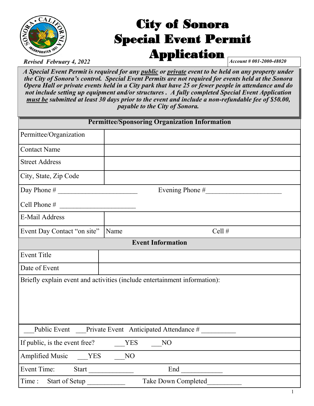

# City of Sonora Special Event Permit Application

*Revised February 4, 2022* **Account # 001-2000-48020 Account # 001-2000-48020** 

*A Special Event Permit is required for any public or private event to be held on any property under the City of Sonora's control. Special Event Permits are not required for events held at the Sonora Opera Hall or private events held in a City park that have 25 or fewer people in attendance and do not include setting up equipment and/or structures . A fully completed Special Event Application must be submitted at least 30 days prior to the event and include a non-refundable fee of \$50.00, payable to the City of Sonora.*

| <b>Permittee/Sponsoring Organization Information</b>                      |      |                 |  |  |  |
|---------------------------------------------------------------------------|------|-----------------|--|--|--|
| Permittee/Organization                                                    |      |                 |  |  |  |
| <b>Contact Name</b>                                                       |      |                 |  |  |  |
| <b>Street Address</b>                                                     |      |                 |  |  |  |
| City, State, Zip Code                                                     |      |                 |  |  |  |
|                                                                           |      | Evening Phone # |  |  |  |
| Cell Phone #                                                              |      |                 |  |  |  |
| E-Mail Address                                                            |      |                 |  |  |  |
| Event Day Contact "on site"                                               | Name | Cell #          |  |  |  |
| <b>Event Information</b>                                                  |      |                 |  |  |  |
| <b>Event Title</b>                                                        |      |                 |  |  |  |
| Date of Event                                                             |      |                 |  |  |  |
| Briefly explain event and activities (include entertainment information): |      |                 |  |  |  |
| Public Event Private Event Anticipated Attendance #                       |      |                 |  |  |  |
| If public, is the event free?<br>YES<br>N <sub>O</sub>                    |      |                 |  |  |  |
| <b>Amplified Music</b><br>YES                                             | NO   |                 |  |  |  |
| Event Time:<br>Start                                                      |      | End             |  |  |  |
| Take Down Completed<br>Time:<br>Start of Setup                            |      |                 |  |  |  |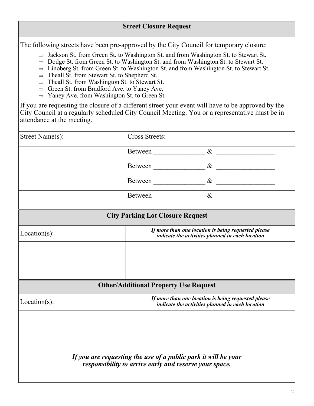The following streets have been pre-approved by the City Council for temporary closure:

- $\Rightarrow$  Jackson St. from Green St. to Washington St. and from Washington St. to Stewart St.
- $\Rightarrow$  Dodge St. from Green St. to Washington St. and from Washington St. to Stewart St.
- $\Rightarrow$  Linoberg St. from Green St. to Washington St. and from Washington St. to Stewart St.
- $\Rightarrow$  Theall St. from Stewart St. to Shepherd St.
- $\Rightarrow$  Theall St. from Washington St. to Stewart St.
- $\Rightarrow$  Green St. from Bradford Ave. to Yaney Ave.
- $\Rightarrow$  Yaney Ave. from Washington St. to Green St.

If you are requesting the closure of a different street your event will have to be approved by the City Council at a regularly scheduled City Council Meeting. You or a representative must be in attendance at the meeting.

| Street Name(s): | <b>Cross Streets:</b>                                                                                                    |                                                                                                         |  |  |  |  |
|-----------------|--------------------------------------------------------------------------------------------------------------------------|---------------------------------------------------------------------------------------------------------|--|--|--|--|
|                 |                                                                                                                          |                                                                                                         |  |  |  |  |
|                 |                                                                                                                          |                                                                                                         |  |  |  |  |
|                 |                                                                                                                          | Between $\_\_\_\_\_\_ \&\_\_\_\_\_\_\_\_\_\_\_ \$                                                       |  |  |  |  |
|                 |                                                                                                                          | Between $\frac{\&}{\&}$                                                                                 |  |  |  |  |
|                 | <b>City Parking Lot Closure Request</b>                                                                                  |                                                                                                         |  |  |  |  |
| $Location(s)$ : |                                                                                                                          | If more than one location is being requested please<br>indicate the activities planned in each location |  |  |  |  |
|                 |                                                                                                                          |                                                                                                         |  |  |  |  |
|                 |                                                                                                                          |                                                                                                         |  |  |  |  |
|                 | <b>Other/Additional Property Use Request</b>                                                                             |                                                                                                         |  |  |  |  |
| $Location(s)$ : |                                                                                                                          | If more than one location is being requested please<br>indicate the activities planned in each location |  |  |  |  |
|                 |                                                                                                                          |                                                                                                         |  |  |  |  |
|                 |                                                                                                                          |                                                                                                         |  |  |  |  |
|                 | If you are requesting the use of a public park it will be your<br>responsibility to arrive early and reserve your space. |                                                                                                         |  |  |  |  |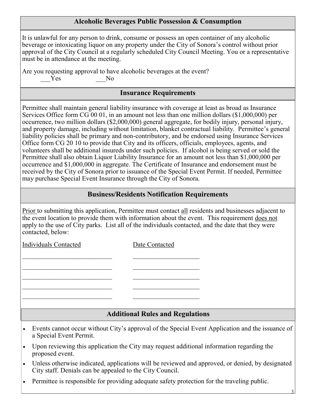### **Alcoholic Beverages Public Possession & Consumption**

It is unlawful for any person to drink, consume or possess an open container of any alcoholic beverage or intoxicating liquor on any property under the City of Sonora's control without prior approval of the City Council at a regularly scheduled City Council Meeting. You or a representative must be in attendance at the meeting.

Are you requesting approval to have alcoholic beverages at the event?

 $\mathcal{L}_\text{max}$  and the contract of the contract of the contract of the contract of the contract of the contract of the contract of the contract of the contract of the contract of the contract of the contract of the contrac

 $\mathcal{L}_\text{max}$  and the contract of the contract of the contract of the contract of the contract of the contract of the contract of the contract of the contract of the contract of the contract of the contract of the contrac

Yes No

## **Insurance Requirements**

Permittee shall maintain general liability insurance with coverage at least as broad as Insurance Services Office form CG 00 01, in an amount not less than one million dollars (\$1,000,000) per occurrence, two million dollars (\$2,000,000) general aggregate, for bodily injury, personal injury, and property damage, including without limitation, blanket contractual liability. Permittee's general liability policies shall be primary and non-contributory, and be endorsed using Insurance Services Office form CG 20 10 to provide that City and its officers, officials, employees, agents, and volunteers shall be additional insureds under such policies. If alcohol is being served or sold the Permittee shall also obtain Liquor Liability Insurance for an amount not less than \$1,000,000 per occurrence and \$1,000,000 in aggregate. The Certificate of Insurance and endorsement must be received by the City of Sonora prior to issuance of the Special Event Permit. If needed, Permittee may purchase Special Event Insurance through the City of Sonora.

# **Business/Residents Notification Requirements**

Prior to submitting this application, Permittee must contact all residents and businesses adjacent to the event location to provide them with information about the event. This requirement does not apply to the use of City parks. List all of the individuals contacted, and the date that they were contacted, below:

Individuals Contacted Date Contacted

**Additional Rules and Regulations**

- Events cannot occur without City's approval of the Special Event Application and the issuance of a Special Event Permit.
- Upon reviewing this application the City may request additional information regarding the proposed event.
- Unless otherwise indicated, applications will be reviewed and approved, or denied, by designated City staff. Denials can be appealed to the City Council.
- Permittee is responsible for providing adequate safety protection for the traveling public.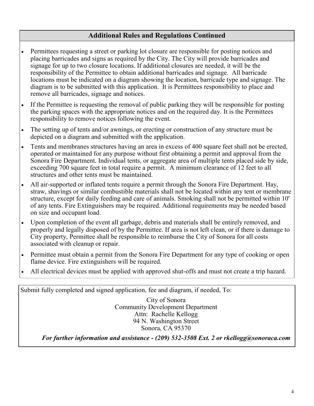## **Additional Rules and Regulations Continued**

- Permittees requesting a street or parking lot closure are responsible for posting notices and placing barricades and signs as required by the City. The City will provide barricades and signage for up to two closure locations. If additional closures are needed, it will be the responsibility of the Permittee to obtain additional barricades and signage. All barricade locations must be indicated on a diagram showing the location, barricade type and signage. The diagram is to be submitted with this application. It is Permittees responsibility to place and remove all barricades, signage and notices.
- If the Permittee is requesting the removal of public parking they will be responsible for posting the parking spaces with the appropriate notices and on the required day. It is the Permittees responsibility to remove notices following the event.
- The setting up of tents and/or awnings, or erecting or construction of any structure must be depicted on a diagram and submitted with the application.
- Tents and membranes structures having an area in excess of 400 square feet shall not be erected, operated or maintained for any purpose without first obtaining a permit and approval from the Sonora Fire Department. Individual tents, or aggregate area of multiple tents placed side by side, exceeding 700 square feet in total require a permit. A minimum clearance of 12 feet to all structures and other tents must be maintained.
- All air-supported or inflated tents require a permit through the Sonora Fire Department. Hay, straw, shavings or similar combustible materials shall not be located within any tent or membrane structure, except for daily feeding and care of animals. Smoking shall not be permitted within 10' of any tents. Fire Extinguishers may be required. Additional requirements may be needed based on size and occupant load.
- Upon completion of the event all garbage, debris and materials shall be entirely removed, and properly and legally disposed of by the Permittee. If area is not left clean, or if there is damage to City property, Permittee shall be responsible to reimburse the City of Sonora for all costs associated with cleanup or repair.
- Permittee must obtain a permit from the Sonora Fire Department for any type of cooking or open flame device. Fire extinguishers will be required.
- All electrical devices must be applied with approved shut-offs and must not create a trip hazard.

Submit fully completed and signed application, fee and diagram, if needed, To:

City of Sonora Community Development Department Attn: Rachelle Kellogg 94 N. Washington Street Sonora, CA 95370

*For further information and assistance - (209) 532-3508 Ext. 2 or rkellogg@sonoraca.com*